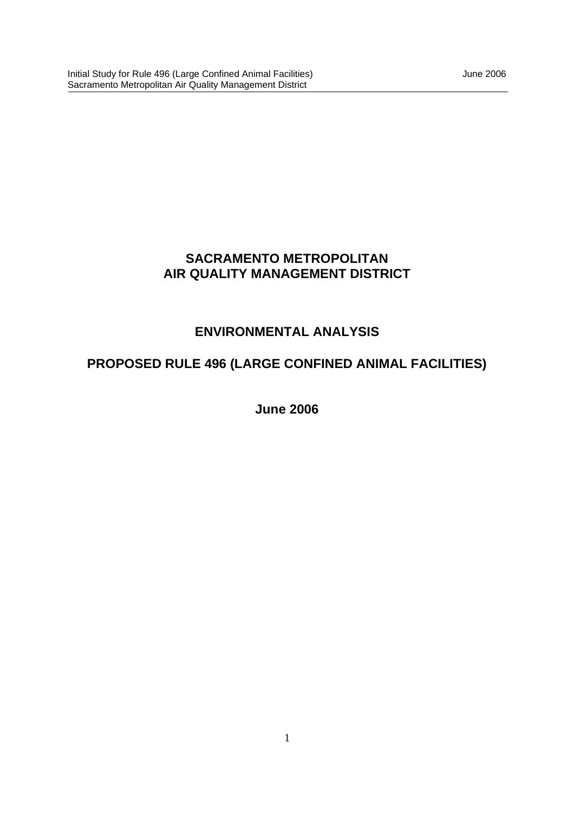## **SACRAMENTO METROPOLITAN AIR QUALITY MANAGEMENT DISTRICT**

## **ENVIRONMENTAL ANALYSIS**

# **PROPOSED RULE 496 (LARGE CONFINED ANIMAL FACILITIES)**

**June 2006**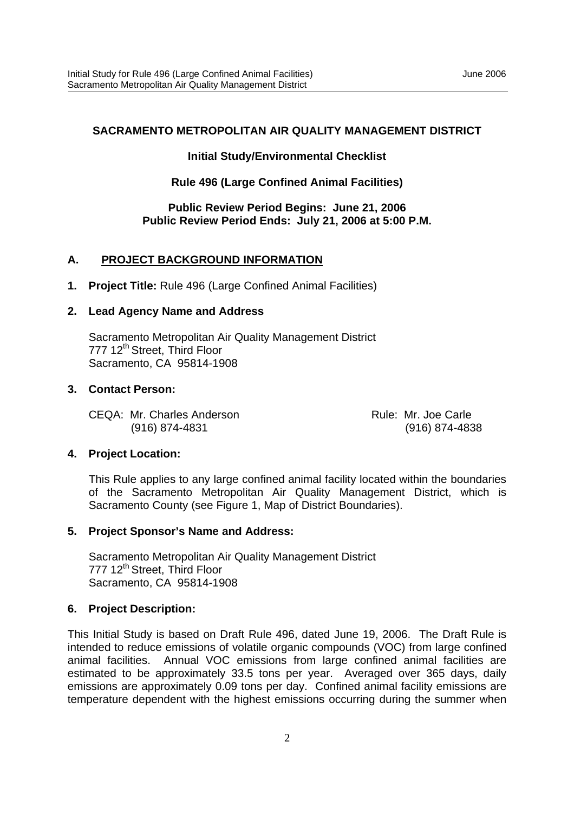#### **SACRAMENTO METROPOLITAN AIR QUALITY MANAGEMENT DISTRICT**

#### **Initial Study/Environmental Checklist**

#### **Rule 496 (Large Confined Animal Facilities)**

#### **Public Review Period Begins: June 21, 2006 Public Review Period Ends: July 21, 2006 at 5:00 P.M.**

#### **A. PROJECT BACKGROUND INFORMATION**

**1. Project Title:** Rule 496 (Large Confined Animal Facilities)

#### **2. Lead Agency Name and Address**

Sacramento Metropolitan Air Quality Management District 777 12<sup>th</sup> Street, Third Floor Sacramento, CA 95814-1908

#### **3. Contact Person:**

CEQA: Mr. Charles Anderson **Rule: Mr. Joe Carle** (916) 874-4831 (916) 874-4838

#### **4. Project Location:**

This Rule applies to any large confined animal facility located within the boundaries of the Sacramento Metropolitan Air Quality Management District, which is Sacramento County (see Figure 1, Map of District Boundaries).

#### **5. Project Sponsor's Name and Address:**

Sacramento Metropolitan Air Quality Management District 777 12<sup>th</sup> Street, Third Floor Sacramento, CA 95814-1908

#### **6. Project Description:**

This Initial Study is based on Draft Rule 496, dated June 19, 2006. The Draft Rule is intended to reduce emissions of volatile organic compounds (VOC) from large confined animal facilities. Annual VOC emissions from large confined animal facilities are estimated to be approximately 33.5 tons per year. Averaged over 365 days, daily emissions are approximately 0.09 tons per day. Confined animal facility emissions are temperature dependent with the highest emissions occurring during the summer when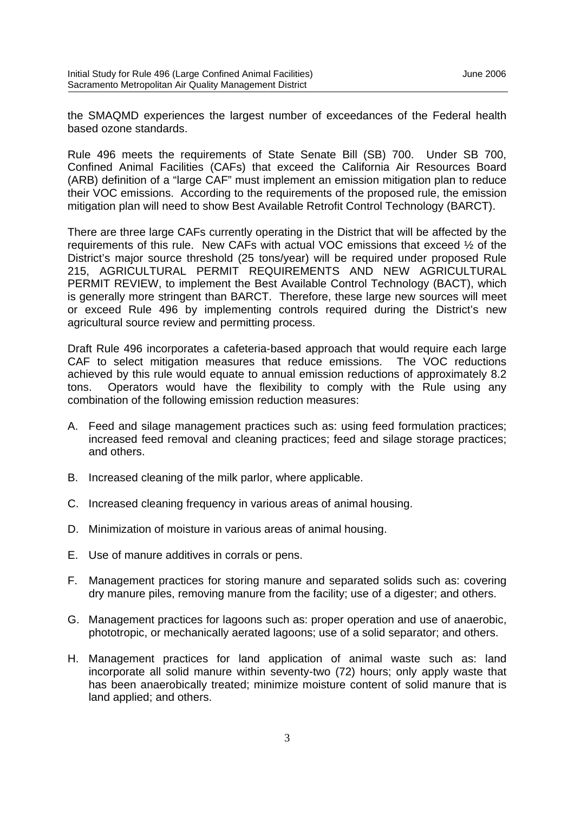the SMAQMD experiences the largest number of exceedances of the Federal health based ozone standards.

Rule 496 meets the requirements of State Senate Bill (SB) 700. Under SB 700, Confined Animal Facilities (CAFs) that exceed the California Air Resources Board (ARB) definition of a "large CAF" must implement an emission mitigation plan to reduce their VOC emissions. According to the requirements of the proposed rule, the emission mitigation plan will need to show Best Available Retrofit Control Technology (BARCT).

There are three large CAFs currently operating in the District that will be affected by the requirements of this rule. New CAFs with actual VOC emissions that exceed ½ of the District's major source threshold (25 tons/year) will be required under proposed Rule 215, AGRICULTURAL PERMIT REQUIREMENTS AND NEW AGRICULTURAL PERMIT REVIEW, to implement the Best Available Control Technology (BACT), which is generally more stringent than BARCT. Therefore, these large new sources will meet or exceed Rule 496 by implementing controls required during the District's new agricultural source review and permitting process.

Draft Rule 496 incorporates a cafeteria-based approach that would require each large CAF to select mitigation measures that reduce emissions. The VOC reductions achieved by this rule would equate to annual emission reductions of approximately 8.2 tons. Operators would have the flexibility to comply with the Rule using any combination of the following emission reduction measures:

- A. Feed and silage management practices such as: using feed formulation practices; increased feed removal and cleaning practices; feed and silage storage practices; and others.
- B. Increased cleaning of the milk parlor, where applicable.
- C. Increased cleaning frequency in various areas of animal housing.
- D. Minimization of moisture in various areas of animal housing.
- E. Use of manure additives in corrals or pens.
- F. Management practices for storing manure and separated solids such as: covering dry manure piles, removing manure from the facility; use of a digester; and others.
- G. Management practices for lagoons such as: proper operation and use of anaerobic, phototropic, or mechanically aerated lagoons; use of a solid separator; and others.
- H. Management practices for land application of animal waste such as: land incorporate all solid manure within seventy-two (72) hours; only apply waste that has been anaerobically treated; minimize moisture content of solid manure that is land applied; and others.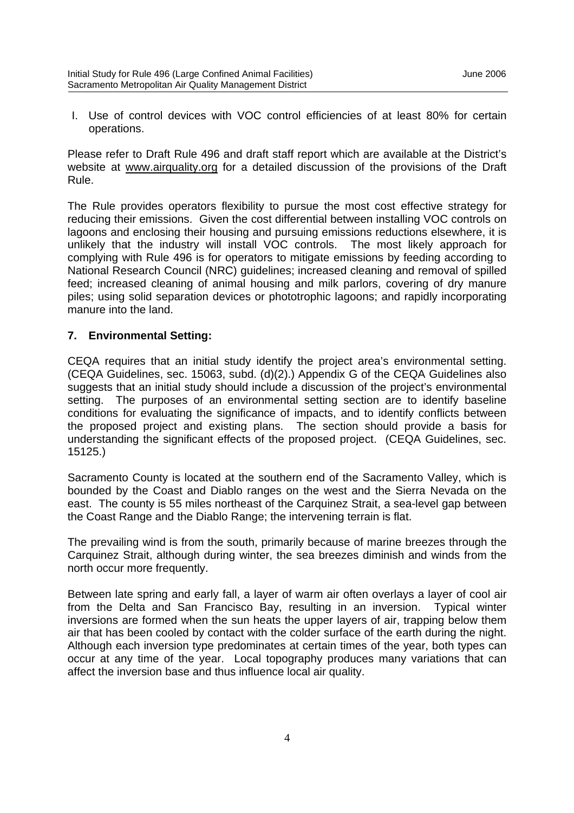I. Use of control devices with VOC control efficiencies of at least 80% for certain operations.

Please refer to Draft Rule 496 and draft staff report which are available at the District's website at www.airquality.org for a detailed discussion of the provisions of the Draft Rule.

The Rule provides operators flexibility to pursue the most cost effective strategy for reducing their emissions. Given the cost differential between installing VOC controls on lagoons and enclosing their housing and pursuing emissions reductions elsewhere, it is unlikely that the industry will install VOC controls. The most likely approach for complying with Rule 496 is for operators to mitigate emissions by feeding according to National Research Council (NRC) guidelines; increased cleaning and removal of spilled feed; increased cleaning of animal housing and milk parlors, covering of dry manure piles; using solid separation devices or phototrophic lagoons; and rapidly incorporating manure into the land.

#### **7. Environmental Setting:**

CEQA requires that an initial study identify the project area's environmental setting. (CEQA Guidelines, sec. 15063, subd. (d)(2).) Appendix G of the CEQA Guidelines also suggests that an initial study should include a discussion of the project's environmental setting. The purposes of an environmental setting section are to identify baseline conditions for evaluating the significance of impacts, and to identify conflicts between the proposed project and existing plans. The section should provide a basis for understanding the significant effects of the proposed project. (CEQA Guidelines, sec. 15125.)

Sacramento County is located at the southern end of the Sacramento Valley, which is bounded by the Coast and Diablo ranges on the west and the Sierra Nevada on the east. The county is 55 miles northeast of the Carquinez Strait, a sea-level gap between the Coast Range and the Diablo Range; the intervening terrain is flat.

The prevailing wind is from the south, primarily because of marine breezes through the Carquinez Strait, although during winter, the sea breezes diminish and winds from the north occur more frequently.

Between late spring and early fall, a layer of warm air often overlays a layer of cool air from the Delta and San Francisco Bay, resulting in an inversion. Typical winter inversions are formed when the sun heats the upper layers of air, trapping below them air that has been cooled by contact with the colder surface of the earth during the night. Although each inversion type predominates at certain times of the year, both types can occur at any time of the year. Local topography produces many variations that can affect the inversion base and thus influence local air quality.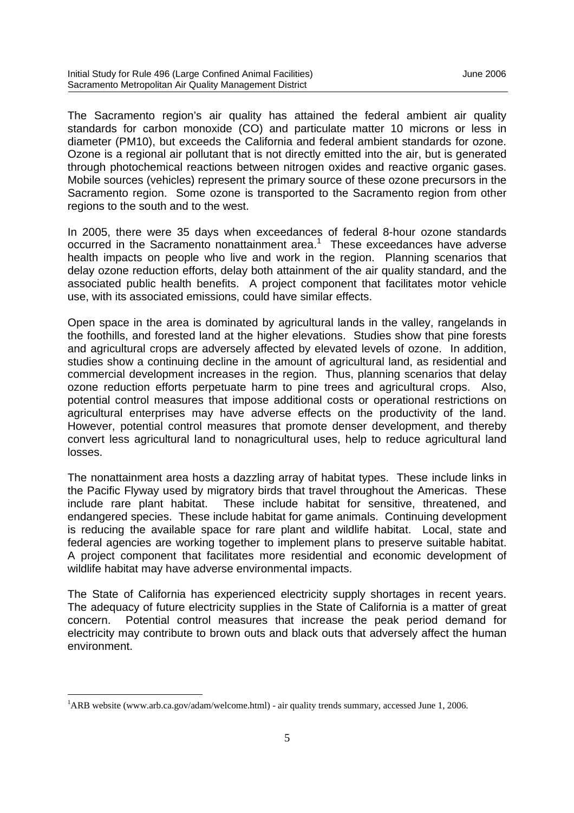The Sacramento region's air quality has attained the federal ambient air quality standards for carbon monoxide (CO) and particulate matter 10 microns or less in diameter (PM10), but exceeds the California and federal ambient standards for ozone. Ozone is a regional air pollutant that is not directly emitted into the air, but is generated through photochemical reactions between nitrogen oxides and reactive organic gases. Mobile sources (vehicles) represent the primary source of these ozone precursors in the Sacramento region. Some ozone is transported to the Sacramento region from other regions to the south and to the west.

In 2005, there were 35 days when exceedances of federal 8-hour ozone standards occurred in the Sacramento nonattainment area.<sup>1</sup> These exceedances have adverse health impacts on people who live and work in the region. Planning scenarios that delay ozone reduction efforts, delay both attainment of the air quality standard, and the associated public health benefits. A project component that facilitates motor vehicle use, with its associated emissions, could have similar effects.

Open space in the area is dominated by agricultural lands in the valley, rangelands in the foothills, and forested land at the higher elevations. Studies show that pine forests and agricultural crops are adversely affected by elevated levels of ozone. In addition, studies show a continuing decline in the amount of agricultural land, as residential and commercial development increases in the region. Thus, planning scenarios that delay ozone reduction efforts perpetuate harm to pine trees and agricultural crops. Also, potential control measures that impose additional costs or operational restrictions on agricultural enterprises may have adverse effects on the productivity of the land. However, potential control measures that promote denser development, and thereby convert less agricultural land to nonagricultural uses, help to reduce agricultural land losses.

The nonattainment area hosts a dazzling array of habitat types. These include links in the Pacific Flyway used by migratory birds that travel throughout the Americas. These include rare plant habitat. These include habitat for sensitive, threatened, and endangered species. These include habitat for game animals. Continuing development is reducing the available space for rare plant and wildlife habitat. Local, state and federal agencies are working together to implement plans to preserve suitable habitat. A project component that facilitates more residential and economic development of wildlife habitat may have adverse environmental impacts.

The State of California has experienced electricity supply shortages in recent years. The adequacy of future electricity supplies in the State of California is a matter of great concern. Potential control measures that increase the peak period demand for electricity may contribute to brown outs and black outs that adversely affect the human environment.

<sup>1</sup>ARB website (www.arb.ca.gov/adam/welcome.html) - air quality trends summary, accessed June 1, 2006.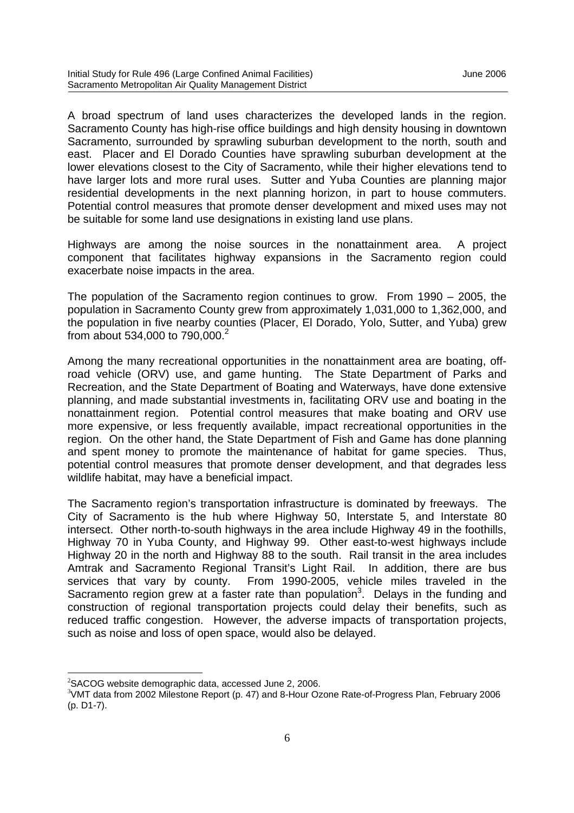A broad spectrum of land uses characterizes the developed lands in the region. Sacramento County has high-rise office buildings and high density housing in downtown Sacramento, surrounded by sprawling suburban development to the north, south and east. Placer and El Dorado Counties have sprawling suburban development at the lower elevations closest to the City of Sacramento, while their higher elevations tend to have larger lots and more rural uses. Sutter and Yuba Counties are planning major residential developments in the next planning horizon, in part to house commuters. Potential control measures that promote denser development and mixed uses may not be suitable for some land use designations in existing land use plans.

Highways are among the noise sources in the nonattainment area. A project component that facilitates highway expansions in the Sacramento region could exacerbate noise impacts in the area.

The population of the Sacramento region continues to grow. From 1990 – 2005, the population in Sacramento County grew from approximately 1,031,000 to 1,362,000, and the population in five nearby counties (Placer, El Dorado, Yolo, Sutter, and Yuba) grew from about 534,000 to 790,000.<sup>2</sup>

Among the many recreational opportunities in the nonattainment area are boating, offroad vehicle (ORV) use, and game hunting. The State Department of Parks and Recreation, and the State Department of Boating and Waterways, have done extensive planning, and made substantial investments in, facilitating ORV use and boating in the nonattainment region. Potential control measures that make boating and ORV use more expensive, or less frequently available, impact recreational opportunities in the region. On the other hand, the State Department of Fish and Game has done planning and spent money to promote the maintenance of habitat for game species. Thus, potential control measures that promote denser development, and that degrades less wildlife habitat, may have a beneficial impact.

The Sacramento region's transportation infrastructure is dominated by freeways. The City of Sacramento is the hub where Highway 50, Interstate 5, and Interstate 80 intersect. Other north-to-south highways in the area include Highway 49 in the foothills, Highway 70 in Yuba County, and Highway 99. Other east-to-west highways include Highway 20 in the north and Highway 88 to the south. Rail transit in the area includes Amtrak and Sacramento Regional Transit's Light Rail. In addition, there are bus services that vary by county. From 1990-2005, vehicle miles traveled in the Sacramento region grew at a faster rate than population<sup>3</sup>. Delays in the funding and construction of regional transportation projects could delay their benefits, such as reduced traffic congestion. However, the adverse impacts of transportation projects, such as noise and loss of open space, would also be delayed.

<sup>&</sup>lt;sup>2</sup>SACOG website demographic data, accessed June 2, 2006.

<sup>3</sup>VMT data from 2002 Milestone Report (p. 47) and 8-Hour Ozone Rate-of-Progress Plan, February 2006 (p. D1-7).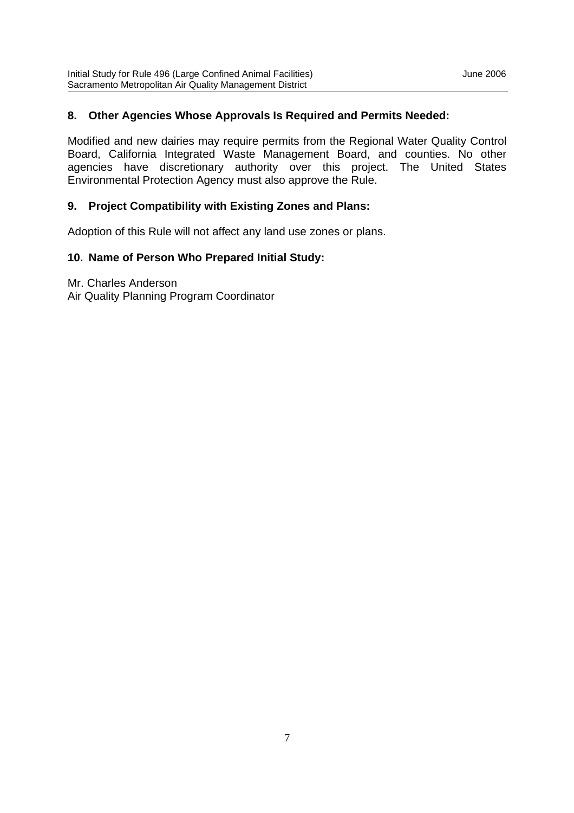#### **8. Other Agencies Whose Approvals Is Required and Permits Needed:**

Modified and new dairies may require permits from the Regional Water Quality Control Board, California Integrated Waste Management Board, and counties. No other agencies have discretionary authority over this project. The United States Environmental Protection Agency must also approve the Rule.

#### **9. Project Compatibility with Existing Zones and Plans:**

Adoption of this Rule will not affect any land use zones or plans.

#### **10. Name of Person Who Prepared Initial Study:**

Mr. Charles Anderson Air Quality Planning Program Coordinator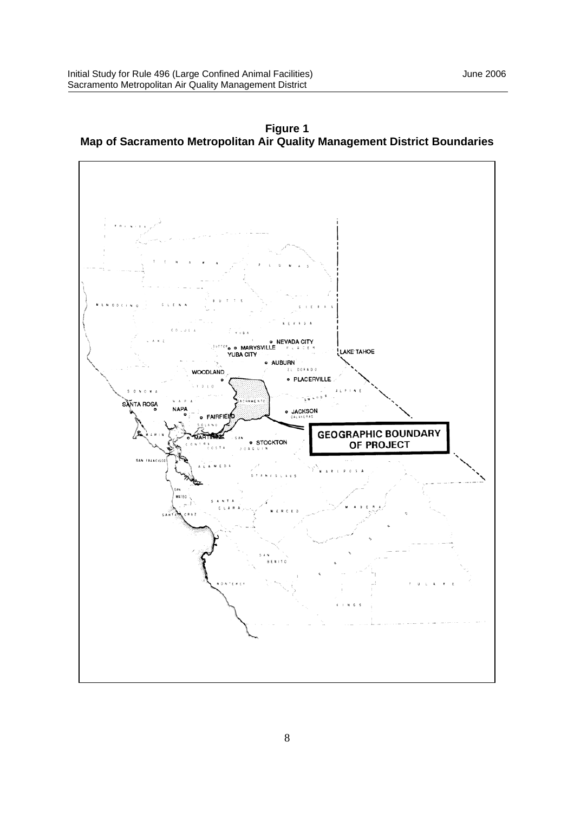

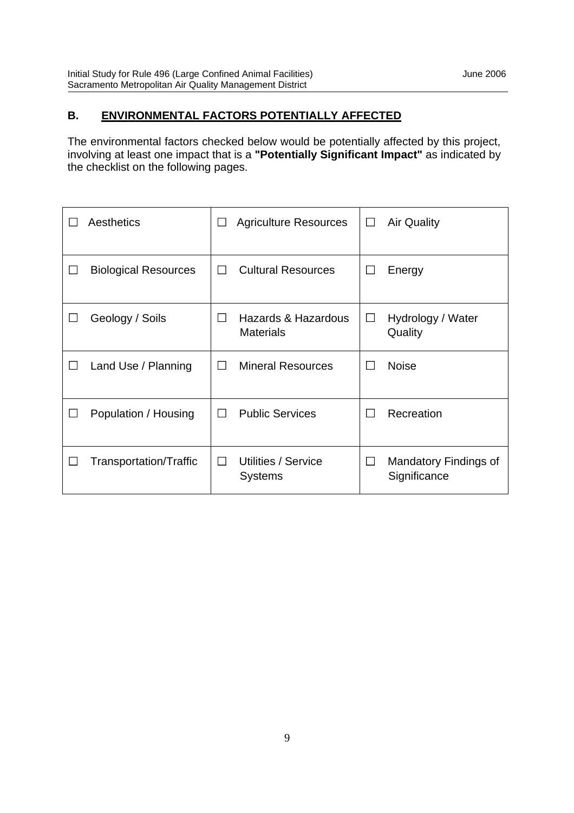## **B. ENVIRONMENTAL FACTORS POTENTIALLY AFFECTED**

The environmental factors checked below would be potentially affected by this project, involving at least one impact that is a **"Potentially Significant Impact"** as indicated by the checklist on the following pages.

| Aesthetics                  | ×.             | <b>Agriculture Resources</b>            | $\Box$       | <b>Air Quality</b>                    |
|-----------------------------|----------------|-----------------------------------------|--------------|---------------------------------------|
| <b>Biological Resources</b> | $\blacksquare$ | <b>Cultural Resources</b>               | $\mathbf{I}$ | Energy                                |
| Geology / Soils             | $\blacksquare$ | Hazards & Hazardous<br><b>Materials</b> | $\Box$       | Hydrology / Water<br>Quality          |
| Land Use / Planning         | $\mathsf{L}$   | <b>Mineral Resources</b>                | $\mathsf{L}$ | <b>Noise</b>                          |
| Population / Housing        | ΙI             | <b>Public Services</b>                  | $\sim$       | Recreation                            |
| Transportation/Traffic      | $\mathbf{I}$   | Utilities / Service<br><b>Systems</b>   | $\Box$       | Mandatory Findings of<br>Significance |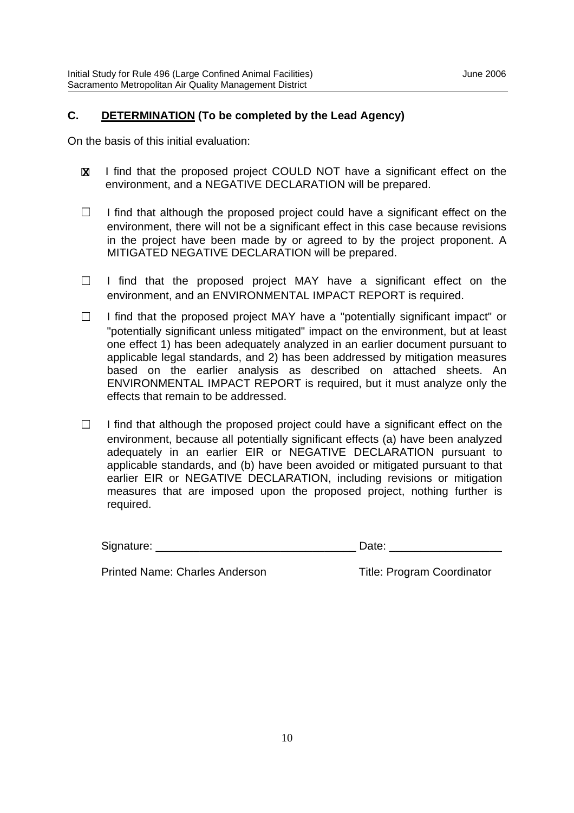### **C. DETERMINATION (To be completed by the Lead Agency)**

On the basis of this initial evaluation:

- I find that the proposed project COULD NOT have a significant effect on the environment, and a NEGATIVE DECLARATION will be prepared. **X**
- $\Box$ I find that although the proposed project could have a significant effect on the environment, there will not be a significant effect in this case because revisions in the project have been made by or agreed to by the project proponent. A MITIGATED NEGATIVE DECLARATION will be prepared.
- $\Box$ I find that the proposed project MAY have a significant effect on the environment, and an ENVIRONMENTAL IMPACT REPORT is required.
- $\Box$ I find that the proposed project MAY have a "potentially significant impact" or "potentially significant unless mitigated" impact on the environment, but at least one effect 1) has been adequately analyzed in an earlier document pursuant to applicable legal standards, and 2) has been addressed by mitigation measures based on the earlier analysis as described on attached sheets. An ENVIRONMENTAL IMPACT REPORT is required, but it must analyze only the effects that remain to be addressed.
- I find that although the proposed project could have a significant effect on the  $\Box$ environment, because all potentially significant effects (a) have been analyzed adequately in an earlier EIR or NEGATIVE DECLARATION pursuant to applicable standards, and (b) have been avoided or mitigated pursuant to that earlier EIR or NEGATIVE DECLARATION, including revisions or mitigation measures that are imposed upon the proposed project, nothing further is required.

| Signature: |  |
|------------|--|
|            |  |

Printed Name: Charles Anderson Title: Program Coordinator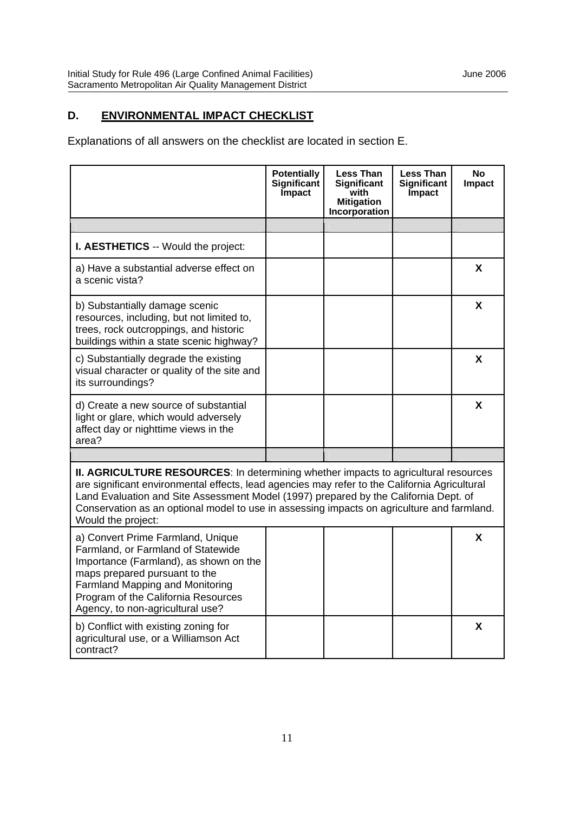## **D. ENVIRONMENTAL IMPACT CHECKLIST**

Explanations of all answers on the checklist are located in section E.

|                                                                                                                                                                                                                                                                                                                                                                                                         | <b>Potentially</b><br>Significant<br><b>Impact</b> | <b>Less Than</b><br>Significant<br>with<br><b>Mitigation</b><br>Incorporation | Less Than<br><b>Significant</b><br><b>Impact</b> | <b>No</b><br><b>Impact</b> |
|---------------------------------------------------------------------------------------------------------------------------------------------------------------------------------------------------------------------------------------------------------------------------------------------------------------------------------------------------------------------------------------------------------|----------------------------------------------------|-------------------------------------------------------------------------------|--------------------------------------------------|----------------------------|
|                                                                                                                                                                                                                                                                                                                                                                                                         |                                                    |                                                                               |                                                  |                            |
| <b>I. AESTHETICS -- Would the project:</b>                                                                                                                                                                                                                                                                                                                                                              |                                                    |                                                                               |                                                  |                            |
| a) Have a substantial adverse effect on<br>a scenic vista?                                                                                                                                                                                                                                                                                                                                              |                                                    |                                                                               |                                                  | X                          |
| b) Substantially damage scenic<br>resources, including, but not limited to,<br>trees, rock outcroppings, and historic<br>buildings within a state scenic highway?                                                                                                                                                                                                                                       |                                                    |                                                                               |                                                  | X                          |
| c) Substantially degrade the existing<br>visual character or quality of the site and<br>its surroundings?                                                                                                                                                                                                                                                                                               |                                                    |                                                                               |                                                  | X                          |
| d) Create a new source of substantial<br>light or glare, which would adversely<br>affect day or nighttime views in the<br>area?                                                                                                                                                                                                                                                                         |                                                    |                                                                               |                                                  | X                          |
|                                                                                                                                                                                                                                                                                                                                                                                                         |                                                    |                                                                               |                                                  |                            |
| <b>II. AGRICULTURE RESOURCES:</b> In determining whether impacts to agricultural resources<br>are significant environmental effects, lead agencies may refer to the California Agricultural<br>Land Evaluation and Site Assessment Model (1997) prepared by the California Dept. of<br>Conservation as an optional model to use in assessing impacts on agriculture and farmland.<br>Would the project: |                                                    |                                                                               |                                                  |                            |
| a) Convert Prime Farmland, Unique<br>Farmland, or Farmland of Statewide<br>Importance (Farmland), as shown on the<br>maps prepared pursuant to the<br><b>Farmland Mapping and Monitoring</b><br>Program of the California Resources<br>Agency, to non-agricultural use?                                                                                                                                 |                                                    |                                                                               |                                                  | X                          |
| b) Conflict with existing zoning for<br>agricultural use, or a Williamson Act<br>contract?                                                                                                                                                                                                                                                                                                              |                                                    |                                                                               |                                                  | X                          |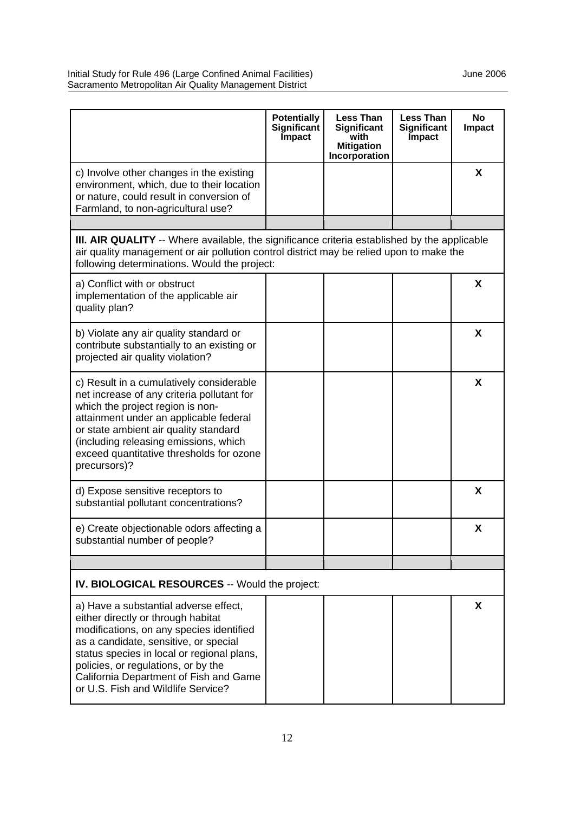|                                                                                                                                                                                                                                                                                                                                       | <b>Potentially</b><br>Significant | <b>Less Than</b><br>Significant            | <b>Less Than</b><br>Significant | <b>No</b><br><b>Impact</b> |
|---------------------------------------------------------------------------------------------------------------------------------------------------------------------------------------------------------------------------------------------------------------------------------------------------------------------------------------|-----------------------------------|--------------------------------------------|---------------------------------|----------------------------|
|                                                                                                                                                                                                                                                                                                                                       | Impact                            | with<br><b>Mitigation</b><br>Incorporation | Impact                          |                            |
| c) Involve other changes in the existing<br>environment, which, due to their location<br>or nature, could result in conversion of<br>Farmland, to non-agricultural use?                                                                                                                                                               |                                   |                                            |                                 | X                          |
|                                                                                                                                                                                                                                                                                                                                       |                                   |                                            |                                 |                            |
| <b>III. AIR QUALITY</b> -- Where available, the significance criteria established by the applicable<br>air quality management or air pollution control district may be relied upon to make the<br>following determinations. Would the project:                                                                                        |                                   |                                            |                                 |                            |
| a) Conflict with or obstruct<br>implementation of the applicable air<br>quality plan?                                                                                                                                                                                                                                                 |                                   |                                            |                                 | X                          |
| b) Violate any air quality standard or<br>contribute substantially to an existing or<br>projected air quality violation?                                                                                                                                                                                                              |                                   |                                            |                                 | X                          |
| c) Result in a cumulatively considerable<br>net increase of any criteria pollutant for<br>which the project region is non-<br>attainment under an applicable federal<br>or state ambient air quality standard<br>(including releasing emissions, which<br>exceed quantitative thresholds for ozone<br>precursors)?                    |                                   |                                            |                                 | X                          |
| d) Expose sensitive receptors to<br>substantial pollutant concentrations?                                                                                                                                                                                                                                                             |                                   |                                            |                                 | X                          |
| e) Create objectionable odors affecting a<br>substantial number of people?                                                                                                                                                                                                                                                            |                                   |                                            |                                 | X                          |
|                                                                                                                                                                                                                                                                                                                                       |                                   |                                            |                                 |                            |
| <b>IV. BIOLOGICAL RESOURCES -- Would the project:</b>                                                                                                                                                                                                                                                                                 |                                   |                                            |                                 |                            |
| a) Have a substantial adverse effect,<br>either directly or through habitat<br>modifications, on any species identified<br>as a candidate, sensitive, or special<br>status species in local or regional plans,<br>policies, or regulations, or by the<br>California Department of Fish and Game<br>or U.S. Fish and Wildlife Service? |                                   |                                            |                                 | X                          |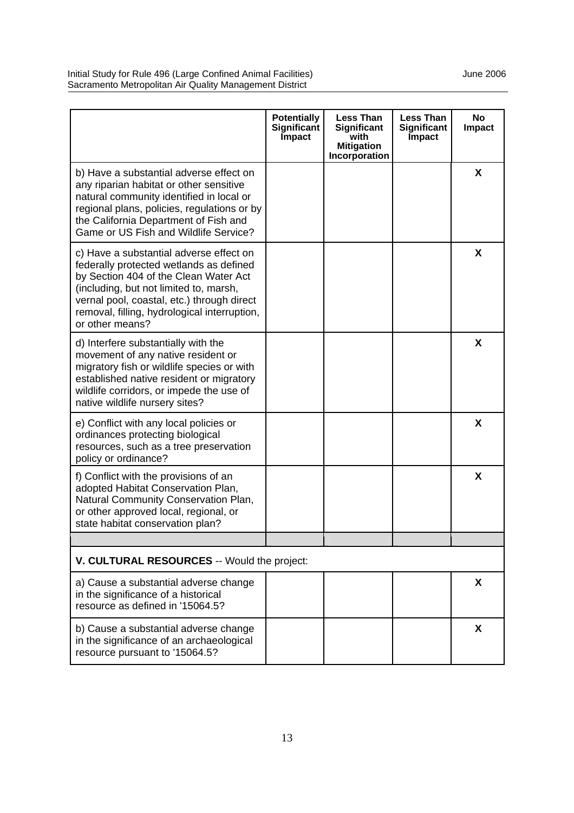|                                                                                                                                                                                                                                                                                        | <b>Potentially</b><br>Significant<br><b>Impact</b> | <b>Less Than</b><br>Significant<br>with<br><b>Mitigation</b><br>Incorporation | <b>Less Than</b><br>Significant<br>Impact | <b>No</b><br>Impact |
|----------------------------------------------------------------------------------------------------------------------------------------------------------------------------------------------------------------------------------------------------------------------------------------|----------------------------------------------------|-------------------------------------------------------------------------------|-------------------------------------------|---------------------|
| b) Have a substantial adverse effect on<br>any riparian habitat or other sensitive<br>natural community identified in local or<br>regional plans, policies, regulations or by<br>the California Department of Fish and<br>Game or US Fish and Wildlife Service?                        |                                                    |                                                                               |                                           | X                   |
| c) Have a substantial adverse effect on<br>federally protected wetlands as defined<br>by Section 404 of the Clean Water Act<br>(including, but not limited to, marsh,<br>vernal pool, coastal, etc.) through direct<br>removal, filling, hydrological interruption,<br>or other means? |                                                    |                                                                               |                                           | X                   |
| d) Interfere substantially with the<br>movement of any native resident or<br>migratory fish or wildlife species or with<br>established native resident or migratory<br>wildlife corridors, or impede the use of<br>native wildlife nursery sites?                                      |                                                    |                                                                               |                                           | X                   |
| e) Conflict with any local policies or<br>ordinances protecting biological<br>resources, such as a tree preservation<br>policy or ordinance?                                                                                                                                           |                                                    |                                                                               |                                           | X                   |
| f) Conflict with the provisions of an<br>adopted Habitat Conservation Plan,<br>Natural Community Conservation Plan,<br>or other approved local, regional, or<br>state habitat conservation plan?                                                                                       |                                                    |                                                                               |                                           | X                   |
| V. CULTURAL RESOURCES -- Would the project:                                                                                                                                                                                                                                            |                                                    |                                                                               |                                           |                     |
| a) Cause a substantial adverse change<br>in the significance of a historical<br>resource as defined in '15064.5?                                                                                                                                                                       |                                                    |                                                                               |                                           | X                   |
| b) Cause a substantial adverse change<br>in the significance of an archaeological<br>resource pursuant to '15064.5?                                                                                                                                                                    |                                                    |                                                                               |                                           | X                   |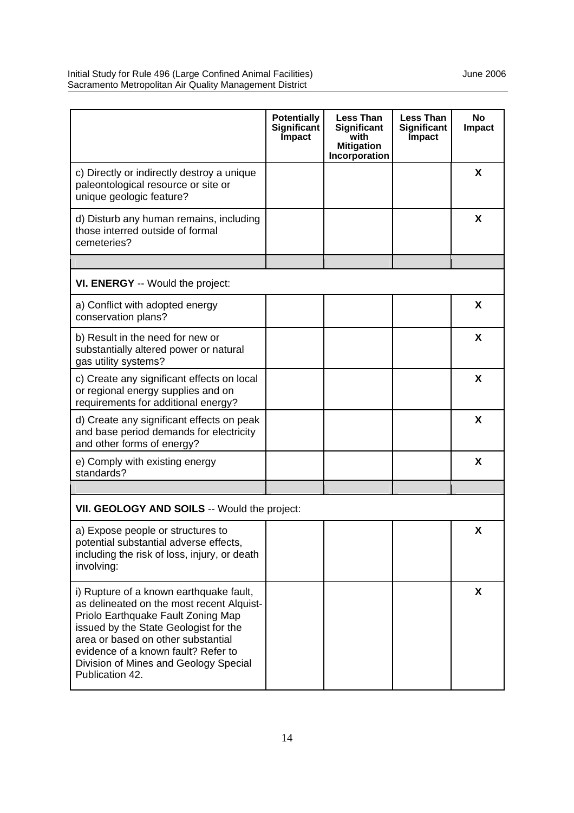|                                                                                                                                                                                                                                                                                                              | <b>Potentially</b><br>Significant<br>Impact | <b>Less Than</b><br>Significant<br>with<br><b>Mitigation</b><br>Incorporation | <b>Less Than</b><br>Significant<br>Impact | No<br><b>Impact</b> |
|--------------------------------------------------------------------------------------------------------------------------------------------------------------------------------------------------------------------------------------------------------------------------------------------------------------|---------------------------------------------|-------------------------------------------------------------------------------|-------------------------------------------|---------------------|
| c) Directly or indirectly destroy a unique<br>paleontological resource or site or<br>unique geologic feature?                                                                                                                                                                                                |                                             |                                                                               |                                           | X                   |
| d) Disturb any human remains, including<br>those interred outside of formal<br>cemeteries?                                                                                                                                                                                                                   |                                             |                                                                               |                                           | X                   |
|                                                                                                                                                                                                                                                                                                              |                                             |                                                                               |                                           |                     |
| VI. ENERGY -- Would the project:                                                                                                                                                                                                                                                                             |                                             |                                                                               |                                           |                     |
| a) Conflict with adopted energy<br>conservation plans?                                                                                                                                                                                                                                                       |                                             |                                                                               |                                           | X                   |
| b) Result in the need for new or<br>substantially altered power or natural<br>gas utility systems?                                                                                                                                                                                                           |                                             |                                                                               |                                           | X                   |
| c) Create any significant effects on local<br>or regional energy supplies and on<br>requirements for additional energy?                                                                                                                                                                                      |                                             |                                                                               |                                           | X                   |
| d) Create any significant effects on peak<br>and base period demands for electricity<br>and other forms of energy?                                                                                                                                                                                           |                                             |                                                                               |                                           | X                   |
| e) Comply with existing energy<br>standards?                                                                                                                                                                                                                                                                 |                                             |                                                                               |                                           | X                   |
|                                                                                                                                                                                                                                                                                                              |                                             |                                                                               |                                           |                     |
| VII. GEOLOGY AND SOILS -- Would the project:                                                                                                                                                                                                                                                                 |                                             |                                                                               |                                           |                     |
| a) Expose people or structures to<br>potential substantial adverse effects,<br>including the risk of loss, injury, or death<br>involving:                                                                                                                                                                    |                                             |                                                                               |                                           | X                   |
| i) Rupture of a known earthquake fault,<br>as delineated on the most recent Alquist-<br>Priolo Earthquake Fault Zoning Map<br>issued by the State Geologist for the<br>area or based on other substantial<br>evidence of a known fault? Refer to<br>Division of Mines and Geology Special<br>Publication 42. |                                             |                                                                               |                                           | X                   |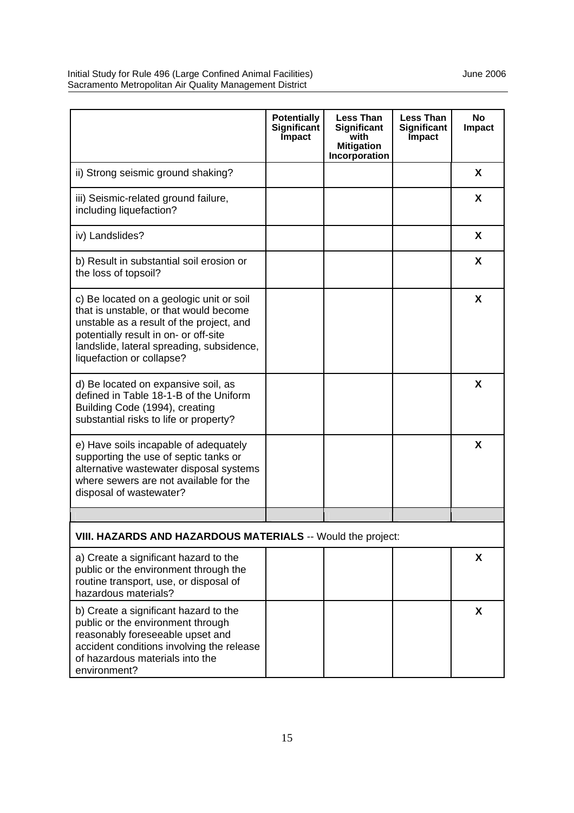|                                                                                                                                                                                                                                                   | <b>Potentially</b><br>Significant<br>Impact | <b>Less Than</b><br>Significant<br>with<br><b>Mitigation</b><br>Incorporation | <b>Less Than</b><br>Significant<br>Impact | No<br><b>Impact</b> |
|---------------------------------------------------------------------------------------------------------------------------------------------------------------------------------------------------------------------------------------------------|---------------------------------------------|-------------------------------------------------------------------------------|-------------------------------------------|---------------------|
| ii) Strong seismic ground shaking?                                                                                                                                                                                                                |                                             |                                                                               |                                           | X                   |
| iii) Seismic-related ground failure,<br>including liquefaction?                                                                                                                                                                                   |                                             |                                                                               |                                           | X                   |
| iv) Landslides?                                                                                                                                                                                                                                   |                                             |                                                                               |                                           | X                   |
| b) Result in substantial soil erosion or<br>the loss of topsoil?                                                                                                                                                                                  |                                             |                                                                               |                                           | X                   |
| c) Be located on a geologic unit or soil<br>that is unstable, or that would become<br>unstable as a result of the project, and<br>potentially result in on- or off-site<br>landslide, lateral spreading, subsidence,<br>liquefaction or collapse? |                                             |                                                                               |                                           | X                   |
| d) Be located on expansive soil, as<br>defined in Table 18-1-B of the Uniform<br>Building Code (1994), creating<br>substantial risks to life or property?                                                                                         |                                             |                                                                               |                                           | X                   |
| e) Have soils incapable of adequately<br>supporting the use of septic tanks or<br>alternative wastewater disposal systems<br>where sewers are not available for the<br>disposal of wastewater?                                                    |                                             |                                                                               |                                           | X                   |
|                                                                                                                                                                                                                                                   |                                             |                                                                               |                                           |                     |
| VIII. HAZARDS AND HAZARDOUS MATERIALS -- Would the project:                                                                                                                                                                                       |                                             |                                                                               |                                           |                     |
| a) Create a significant hazard to the<br>public or the environment through the<br>routine transport, use, or disposal of<br>hazardous materials?                                                                                                  |                                             |                                                                               |                                           | X                   |
| b) Create a significant hazard to the<br>public or the environment through<br>reasonably foreseeable upset and<br>accident conditions involving the release<br>of hazardous materials into the<br>environment?                                    |                                             |                                                                               |                                           | X                   |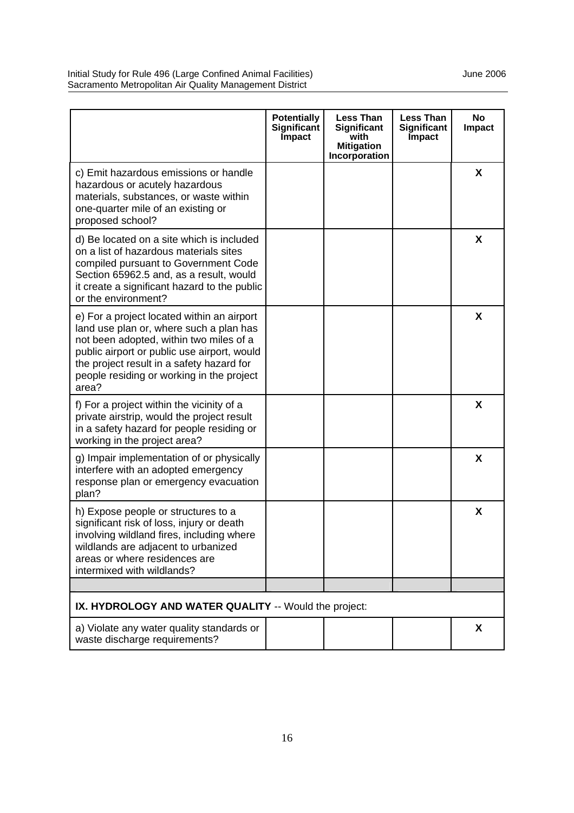|                                                                                                                                                                                                                                                                                    | <b>Potentially</b><br>Significant<br><b>Impact</b> | <b>Less Than</b><br>Significant<br>with<br><b>Mitigation</b><br>Incorporation | <b>Less Than</b><br><b>Significant</b><br><b>Impact</b> | <b>No</b><br><b>Impact</b> |
|------------------------------------------------------------------------------------------------------------------------------------------------------------------------------------------------------------------------------------------------------------------------------------|----------------------------------------------------|-------------------------------------------------------------------------------|---------------------------------------------------------|----------------------------|
| c) Emit hazardous emissions or handle<br>hazardous or acutely hazardous<br>materials, substances, or waste within<br>one-quarter mile of an existing or<br>proposed school?                                                                                                        |                                                    |                                                                               |                                                         | X                          |
| d) Be located on a site which is included<br>on a list of hazardous materials sites<br>compiled pursuant to Government Code<br>Section 65962.5 and, as a result, would<br>it create a significant hazard to the public<br>or the environment?                                      |                                                    |                                                                               |                                                         | X                          |
| e) For a project located within an airport<br>land use plan or, where such a plan has<br>not been adopted, within two miles of a<br>public airport or public use airport, would<br>the project result in a safety hazard for<br>people residing or working in the project<br>area? |                                                    |                                                                               |                                                         | X                          |
| f) For a project within the vicinity of a<br>private airstrip, would the project result<br>in a safety hazard for people residing or<br>working in the project area?                                                                                                               |                                                    |                                                                               |                                                         | X                          |
| g) Impair implementation of or physically<br>interfere with an adopted emergency<br>response plan or emergency evacuation<br>plan?                                                                                                                                                 |                                                    |                                                                               |                                                         | X                          |
| h) Expose people or structures to a<br>significant risk of loss, injury or death<br>involving wildland fires, including where<br>wildlands are adjacent to urbanized<br>areas or where residences are<br>intermixed with wildlands?                                                |                                                    |                                                                               |                                                         | X                          |
| IX. HYDROLOGY AND WATER QUALITY -- Would the project:                                                                                                                                                                                                                              |                                                    |                                                                               |                                                         |                            |
| a) Violate any water quality standards or<br>waste discharge requirements?                                                                                                                                                                                                         |                                                    |                                                                               |                                                         | X                          |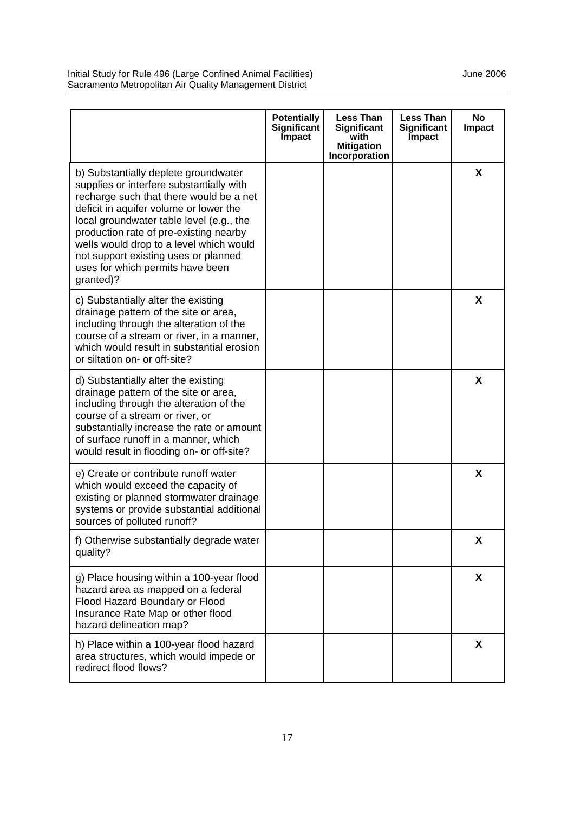|                                                                                                                                                                                                                                                                                                                                                                                                 | <b>Potentially</b><br>Significant<br><b>Impact</b> | <b>Less Than</b><br>Significant<br>with<br><b>Mitigation</b><br>Incorporation | <b>Less Than</b><br><b>Significant</b><br><b>Impact</b> | <b>No</b><br><b>Impact</b> |
|-------------------------------------------------------------------------------------------------------------------------------------------------------------------------------------------------------------------------------------------------------------------------------------------------------------------------------------------------------------------------------------------------|----------------------------------------------------|-------------------------------------------------------------------------------|---------------------------------------------------------|----------------------------|
| b) Substantially deplete groundwater<br>supplies or interfere substantially with<br>recharge such that there would be a net<br>deficit in aquifer volume or lower the<br>local groundwater table level (e.g., the<br>production rate of pre-existing nearby<br>wells would drop to a level which would<br>not support existing uses or planned<br>uses for which permits have been<br>granted)? |                                                    |                                                                               |                                                         | X                          |
| c) Substantially alter the existing<br>drainage pattern of the site or area,<br>including through the alteration of the<br>course of a stream or river, in a manner,<br>which would result in substantial erosion<br>or siltation on- or off-site?                                                                                                                                              |                                                    |                                                                               |                                                         | X                          |
| d) Substantially alter the existing<br>drainage pattern of the site or area,<br>including through the alteration of the<br>course of a stream or river, or<br>substantially increase the rate or amount<br>of surface runoff in a manner, which<br>would result in flooding on- or off-site?                                                                                                    |                                                    |                                                                               |                                                         | X                          |
| e) Create or contribute runoff water<br>which would exceed the capacity of<br>existing or planned stormwater drainage<br>systems or provide substantial additional<br>sources of polluted runoff?                                                                                                                                                                                               |                                                    |                                                                               |                                                         | X                          |
| f) Otherwise substantially degrade water<br>quality?                                                                                                                                                                                                                                                                                                                                            |                                                    |                                                                               |                                                         | X                          |
| g) Place housing within a 100-year flood<br>hazard area as mapped on a federal<br>Flood Hazard Boundary or Flood<br>Insurance Rate Map or other flood<br>hazard delineation map?                                                                                                                                                                                                                |                                                    |                                                                               |                                                         | X                          |
| h) Place within a 100-year flood hazard<br>area structures, which would impede or<br>redirect flood flows?                                                                                                                                                                                                                                                                                      |                                                    |                                                                               |                                                         | X                          |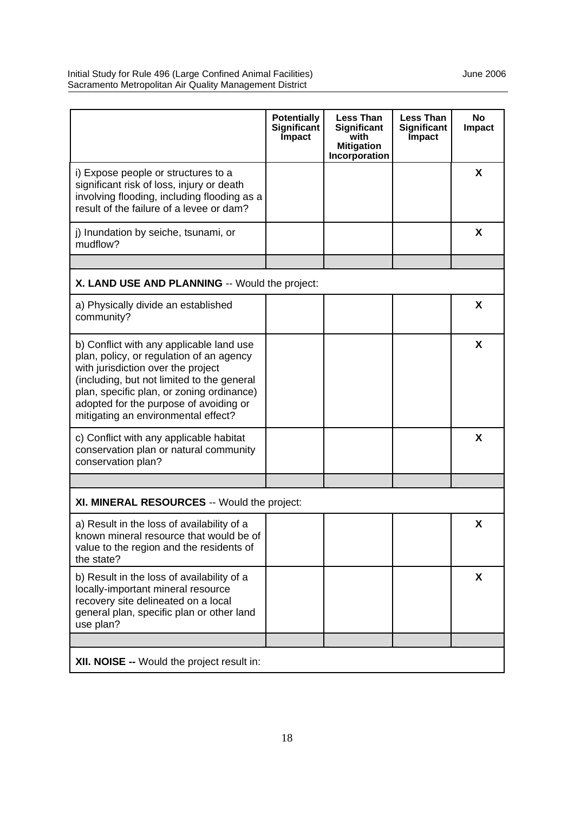|                                                                                                                                                                                                                                                                                                        | <b>Potentially</b><br>Significant<br>Impact | <b>Less Than</b><br><b>Significant</b><br>with<br><b>Mitigation</b><br>Incorporation | <b>Less Than</b><br>Significant<br>Impact | <b>No</b><br><b>Impact</b> |
|--------------------------------------------------------------------------------------------------------------------------------------------------------------------------------------------------------------------------------------------------------------------------------------------------------|---------------------------------------------|--------------------------------------------------------------------------------------|-------------------------------------------|----------------------------|
| i) Expose people or structures to a<br>significant risk of loss, injury or death<br>involving flooding, including flooding as a<br>result of the failure of a levee or dam?                                                                                                                            |                                             |                                                                                      |                                           | X                          |
| j) Inundation by seiche, tsunami, or<br>mudflow?                                                                                                                                                                                                                                                       |                                             |                                                                                      |                                           | X                          |
|                                                                                                                                                                                                                                                                                                        |                                             |                                                                                      |                                           |                            |
| X. LAND USE AND PLANNING -- Would the project:                                                                                                                                                                                                                                                         |                                             |                                                                                      |                                           |                            |
| a) Physically divide an established<br>community?                                                                                                                                                                                                                                                      |                                             |                                                                                      |                                           | X                          |
| b) Conflict with any applicable land use<br>plan, policy, or regulation of an agency<br>with jurisdiction over the project<br>(including, but not limited to the general<br>plan, specific plan, or zoning ordinance)<br>adopted for the purpose of avoiding or<br>mitigating an environmental effect? |                                             |                                                                                      |                                           | X                          |
| c) Conflict with any applicable habitat<br>conservation plan or natural community<br>conservation plan?                                                                                                                                                                                                |                                             |                                                                                      |                                           | X                          |
|                                                                                                                                                                                                                                                                                                        |                                             |                                                                                      |                                           |                            |
| XI. MINERAL RESOURCES -- Would the project:                                                                                                                                                                                                                                                            |                                             |                                                                                      |                                           |                            |
| a) Result in the loss of availability of a<br>known mineral resource that would be of<br>value to the region and the residents of<br>the state?                                                                                                                                                        |                                             |                                                                                      |                                           | X                          |
| b) Result in the loss of availability of a<br>locally-important mineral resource<br>recovery site delineated on a local<br>general plan, specific plan or other land<br>use plan?                                                                                                                      |                                             |                                                                                      |                                           | X                          |
|                                                                                                                                                                                                                                                                                                        |                                             |                                                                                      |                                           |                            |
| XII. NOISE -- Would the project result in:                                                                                                                                                                                                                                                             |                                             |                                                                                      |                                           |                            |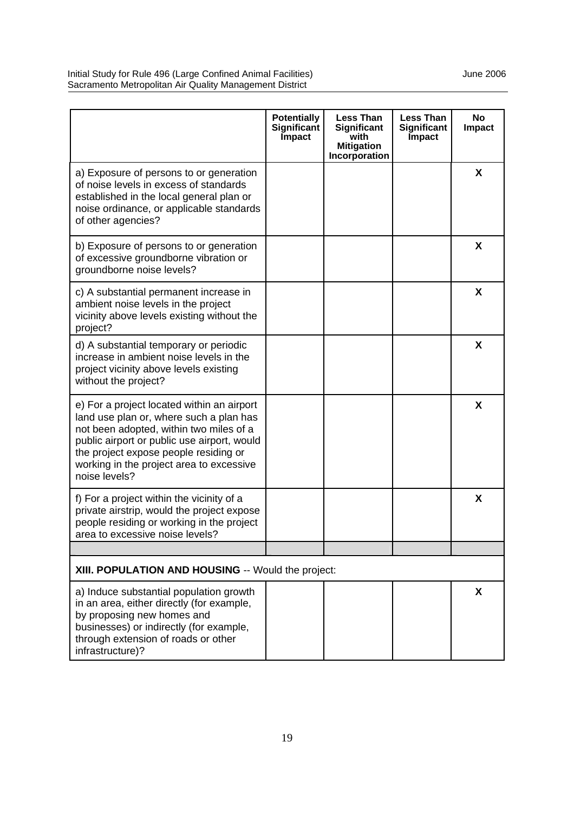|                                                                                                                                                                                                                                                                                       | <b>Potentially</b><br>Significant<br><b>Impact</b> | <b>Less Than</b><br><b>Significant</b><br>with<br><b>Mitigation</b><br>Incorporation | <b>Less Than</b><br>Significant<br><b>Impact</b> | <b>No</b><br><b>Impact</b> |
|---------------------------------------------------------------------------------------------------------------------------------------------------------------------------------------------------------------------------------------------------------------------------------------|----------------------------------------------------|--------------------------------------------------------------------------------------|--------------------------------------------------|----------------------------|
| a) Exposure of persons to or generation<br>of noise levels in excess of standards<br>established in the local general plan or<br>noise ordinance, or applicable standards<br>of other agencies?                                                                                       |                                                    |                                                                                      |                                                  | X                          |
| b) Exposure of persons to or generation<br>of excessive groundborne vibration or<br>groundborne noise levels?                                                                                                                                                                         |                                                    |                                                                                      |                                                  | X                          |
| c) A substantial permanent increase in<br>ambient noise levels in the project<br>vicinity above levels existing without the<br>project?                                                                                                                                               |                                                    |                                                                                      |                                                  | X                          |
| d) A substantial temporary or periodic<br>increase in ambient noise levels in the<br>project vicinity above levels existing<br>without the project?                                                                                                                                   |                                                    |                                                                                      |                                                  | X                          |
| e) For a project located within an airport<br>land use plan or, where such a plan has<br>not been adopted, within two miles of a<br>public airport or public use airport, would<br>the project expose people residing or<br>working in the project area to excessive<br>noise levels? |                                                    |                                                                                      |                                                  | X                          |
| f) For a project within the vicinity of a<br>private airstrip, would the project expose<br>people residing or working in the project<br>area to excessive noise levels?                                                                                                               |                                                    |                                                                                      |                                                  | X                          |
|                                                                                                                                                                                                                                                                                       |                                                    |                                                                                      |                                                  |                            |
| XIII. POPULATION AND HOUSING -- Would the project:                                                                                                                                                                                                                                    |                                                    |                                                                                      |                                                  |                            |
| a) Induce substantial population growth<br>in an area, either directly (for example,<br>by proposing new homes and<br>businesses) or indirectly (for example,<br>through extension of roads or other<br>infrastructure)?                                                              |                                                    |                                                                                      |                                                  | X                          |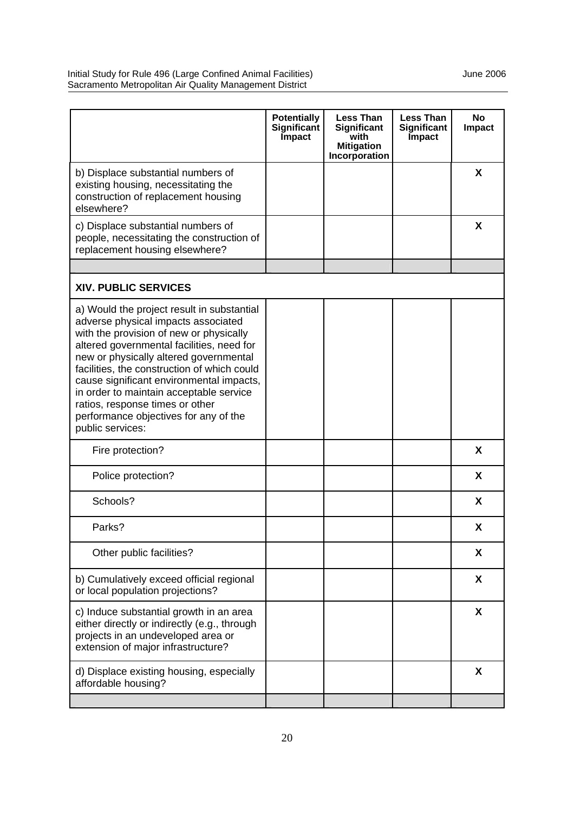| Significant<br><b>Impact</b> | <b>Less Than</b><br>Significant<br>with<br><b>Mitigation</b><br>Incorporation | <b>Less Than</b><br><b>Significant</b><br><b>Impact</b> | <b>No</b><br>Impact |
|------------------------------|-------------------------------------------------------------------------------|---------------------------------------------------------|---------------------|
|                              |                                                                               |                                                         | X                   |
|                              |                                                                               |                                                         | X                   |
|                              |                                                                               |                                                         |                     |
|                              |                                                                               |                                                         |                     |
|                              |                                                                               |                                                         |                     |
|                              |                                                                               |                                                         | X                   |
|                              |                                                                               |                                                         | X                   |
|                              |                                                                               |                                                         | X                   |
|                              |                                                                               |                                                         | X                   |
|                              |                                                                               |                                                         | X                   |
|                              |                                                                               |                                                         | X                   |
|                              |                                                                               |                                                         | X                   |
|                              |                                                                               |                                                         | X                   |
|                              |                                                                               |                                                         |                     |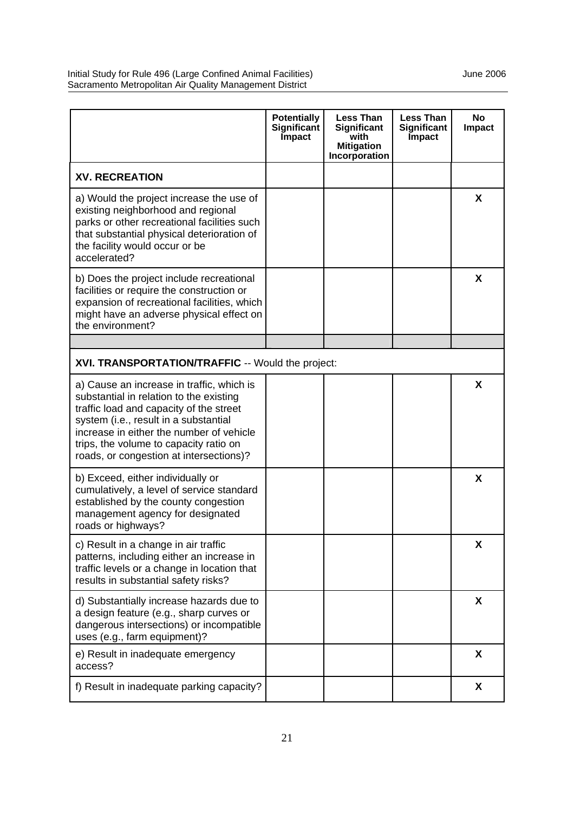Initial Study for Rule 496 (Large Confined Animal Facilities) Manual Animal Facilities and Muslem 2006 Sacramento Metropolitan Air Quality Management District

|                                                                                                                                                                                                                                                                                                           | <b>Potentially</b><br>Significant<br>Impact | <b>Less Than</b><br>Significant<br>with<br><b>Mitigation</b><br>Incorporation | <b>Less Than</b><br>Significant<br>Impact | <b>No</b><br><b>Impact</b> |
|-----------------------------------------------------------------------------------------------------------------------------------------------------------------------------------------------------------------------------------------------------------------------------------------------------------|---------------------------------------------|-------------------------------------------------------------------------------|-------------------------------------------|----------------------------|
| <b>XV. RECREATION</b>                                                                                                                                                                                                                                                                                     |                                             |                                                                               |                                           |                            |
| a) Would the project increase the use of<br>existing neighborhood and regional<br>parks or other recreational facilities such<br>that substantial physical deterioration of<br>the facility would occur or be<br>accelerated?                                                                             |                                             |                                                                               |                                           | X                          |
| b) Does the project include recreational<br>facilities or require the construction or<br>expansion of recreational facilities, which<br>might have an adverse physical effect on<br>the environment?                                                                                                      |                                             |                                                                               |                                           | X                          |
|                                                                                                                                                                                                                                                                                                           |                                             |                                                                               |                                           |                            |
| XVI. TRANSPORTATION/TRAFFIC -- Would the project:                                                                                                                                                                                                                                                         |                                             |                                                                               |                                           |                            |
| a) Cause an increase in traffic, which is<br>substantial in relation to the existing<br>traffic load and capacity of the street<br>system (i.e., result in a substantial<br>increase in either the number of vehicle<br>trips, the volume to capacity ratio on<br>roads, or congestion at intersections)? |                                             |                                                                               |                                           | X                          |
| b) Exceed, either individually or<br>cumulatively, a level of service standard<br>established by the county congestion<br>management agency for designated<br>roads or highways?                                                                                                                          |                                             |                                                                               |                                           | X                          |
| c) Result in a change in air traffic<br>patterns, including either an increase in<br>traffic levels or a change in location that<br>results in substantial safety risks?                                                                                                                                  |                                             |                                                                               |                                           | X                          |
| d) Substantially increase hazards due to<br>a design feature (e.g., sharp curves or<br>dangerous intersections) or incompatible<br>uses (e.g., farm equipment)?                                                                                                                                           |                                             |                                                                               |                                           | X                          |
| e) Result in inadequate emergency<br>access?                                                                                                                                                                                                                                                              |                                             |                                                                               |                                           | X                          |
| f) Result in inadequate parking capacity?                                                                                                                                                                                                                                                                 |                                             |                                                                               |                                           | X                          |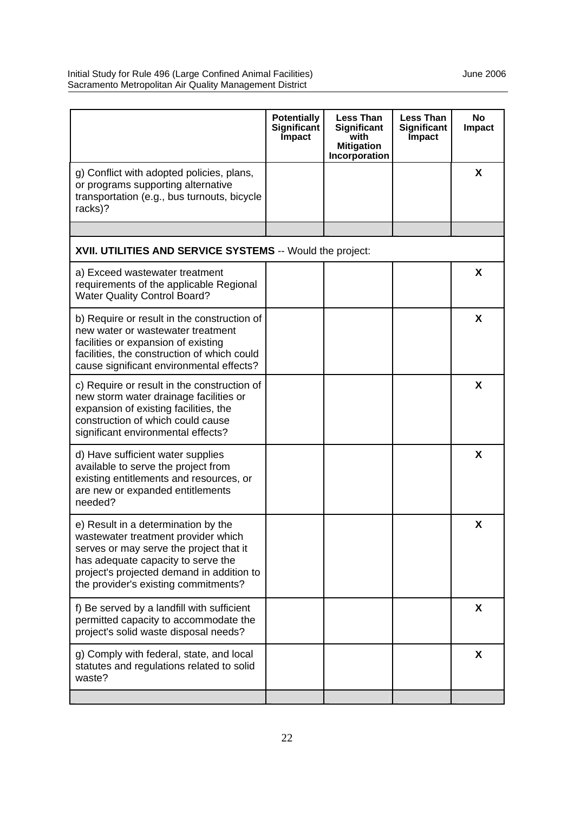|                                                                                                                                                                                                                                                  | <b>Potentially</b><br>Significant<br>Impact | <b>Less Than</b><br>Significant<br>with<br><b>Mitigation</b><br>Incorporation | <b>Less Than</b><br>Significant<br><b>Impact</b> | <b>No</b><br><b>Impact</b> |
|--------------------------------------------------------------------------------------------------------------------------------------------------------------------------------------------------------------------------------------------------|---------------------------------------------|-------------------------------------------------------------------------------|--------------------------------------------------|----------------------------|
| g) Conflict with adopted policies, plans,<br>or programs supporting alternative<br>transportation (e.g., bus turnouts, bicycle<br>racks)?                                                                                                        |                                             |                                                                               |                                                  | X                          |
|                                                                                                                                                                                                                                                  |                                             |                                                                               |                                                  |                            |
| XVII. UTILITIES AND SERVICE SYSTEMS -- Would the project:                                                                                                                                                                                        |                                             |                                                                               |                                                  |                            |
| a) Exceed wastewater treatment<br>requirements of the applicable Regional<br><b>Water Quality Control Board?</b>                                                                                                                                 |                                             |                                                                               |                                                  | X                          |
| b) Require or result in the construction of<br>new water or wastewater treatment<br>facilities or expansion of existing<br>facilities, the construction of which could<br>cause significant environmental effects?                               |                                             |                                                                               |                                                  | X                          |
| c) Require or result in the construction of<br>new storm water drainage facilities or<br>expansion of existing facilities, the<br>construction of which could cause<br>significant environmental effects?                                        |                                             |                                                                               |                                                  | X                          |
| d) Have sufficient water supplies<br>available to serve the project from<br>existing entitlements and resources, or<br>are new or expanded entitlements<br>needed?                                                                               |                                             |                                                                               |                                                  | X                          |
| e) Result in a determination by the<br>wastewater treatment provider which<br>serves or may serve the project that it<br>has adequate capacity to serve the<br>project's projected demand in addition to<br>the provider's existing commitments? |                                             |                                                                               |                                                  | X                          |
| f) Be served by a landfill with sufficient<br>permitted capacity to accommodate the<br>project's solid waste disposal needs?                                                                                                                     |                                             |                                                                               |                                                  | X                          |
| g) Comply with federal, state, and local<br>statutes and regulations related to solid<br>waste?                                                                                                                                                  |                                             |                                                                               |                                                  | X                          |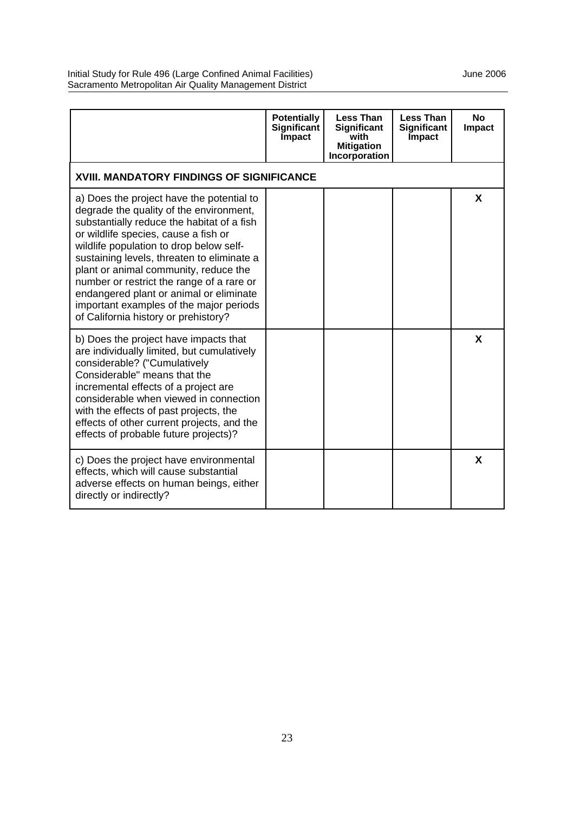|                                                                                                                                                                                                                                                                                                                                                                                                                                                                                         | <b>Potentially</b><br>Significant<br><b>Impact</b> | <b>Less Than</b><br>Significant<br>with<br><b>Mitigation</b><br>Incorporation | <b>Less Than</b><br>Significant<br><b>Impact</b> | <b>No</b><br><b>Impact</b> |  |  |  |
|-----------------------------------------------------------------------------------------------------------------------------------------------------------------------------------------------------------------------------------------------------------------------------------------------------------------------------------------------------------------------------------------------------------------------------------------------------------------------------------------|----------------------------------------------------|-------------------------------------------------------------------------------|--------------------------------------------------|----------------------------|--|--|--|
| <b>XVIII. MANDATORY FINDINGS OF SIGNIFICANCE</b>                                                                                                                                                                                                                                                                                                                                                                                                                                        |                                                    |                                                                               |                                                  |                            |  |  |  |
| a) Does the project have the potential to<br>degrade the quality of the environment,<br>substantially reduce the habitat of a fish<br>or wildlife species, cause a fish or<br>wildlife population to drop below self-<br>sustaining levels, threaten to eliminate a<br>plant or animal community, reduce the<br>number or restrict the range of a rare or<br>endangered plant or animal or eliminate<br>important examples of the major periods<br>of California history or prehistory? |                                                    |                                                                               |                                                  | X                          |  |  |  |
| b) Does the project have impacts that<br>are individually limited, but cumulatively<br>considerable? ("Cumulatively<br>Considerable" means that the<br>incremental effects of a project are<br>considerable when viewed in connection<br>with the effects of past projects, the<br>effects of other current projects, and the<br>effects of probable future projects)?                                                                                                                  |                                                    |                                                                               |                                                  | X                          |  |  |  |
| c) Does the project have environmental<br>effects, which will cause substantial<br>adverse effects on human beings, either<br>directly or indirectly?                                                                                                                                                                                                                                                                                                                                   |                                                    |                                                                               |                                                  | X                          |  |  |  |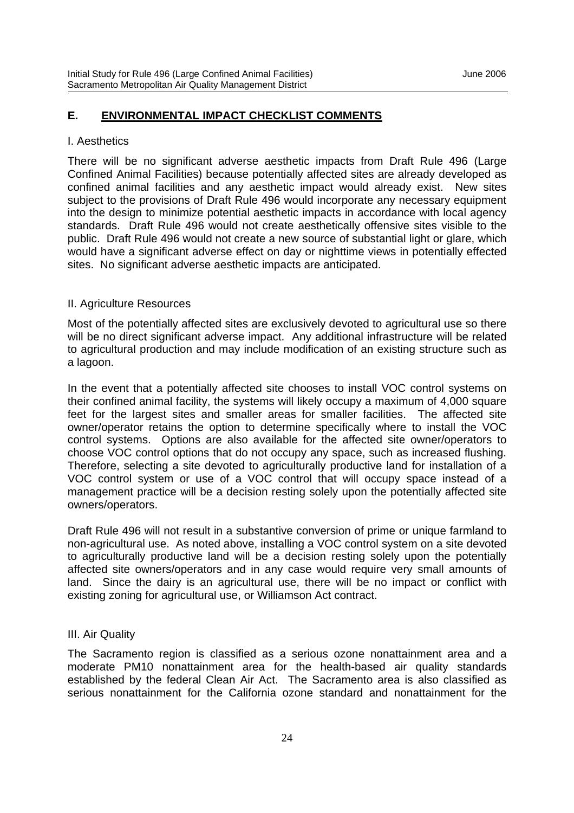#### I. Aesthetics

There will be no significant adverse aesthetic impacts from Draft Rule 496 (Large Confined Animal Facilities) because potentially affected sites are already developed as confined animal facilities and any aesthetic impact would already exist. New sites subject to the provisions of Draft Rule 496 would incorporate any necessary equipment into the design to minimize potential aesthetic impacts in accordance with local agency standards. Draft Rule 496 would not create aesthetically offensive sites visible to the public. Draft Rule 496 would not create a new source of substantial light or glare, which would have a significant adverse effect on day or nighttime views in potentially effected sites. No significant adverse aesthetic impacts are anticipated.

#### II. Agriculture Resources

Most of the potentially affected sites are exclusively devoted to agricultural use so there will be no direct significant adverse impact. Any additional infrastructure will be related to agricultural production and may include modification of an existing structure such as a lagoon.

In the event that a potentially affected site chooses to install VOC control systems on their confined animal facility, the systems will likely occupy a maximum of 4,000 square feet for the largest sites and smaller areas for smaller facilities. The affected site owner/operator retains the option to determine specifically where to install the VOC control systems. Options are also available for the affected site owner/operators to choose VOC control options that do not occupy any space, such as increased flushing. Therefore, selecting a site devoted to agriculturally productive land for installation of a VOC control system or use of a VOC control that will occupy space instead of a management practice will be a decision resting solely upon the potentially affected site owners/operators.

Draft Rule 496 will not result in a substantive conversion of prime or unique farmland to non-agricultural use. As noted above, installing a VOC control system on a site devoted to agriculturally productive land will be a decision resting solely upon the potentially affected site owners/operators and in any case would require very small amounts of land. Since the dairy is an agricultural use, there will be no impact or conflict with existing zoning for agricultural use, or Williamson Act contract.

#### III. Air Quality

The Sacramento region is classified as a serious ozone nonattainment area and a moderate PM10 nonattainment area for the health-based air quality standards established by the federal Clean Air Act. The Sacramento area is also classified as serious nonattainment for the California ozone standard and nonattainment for the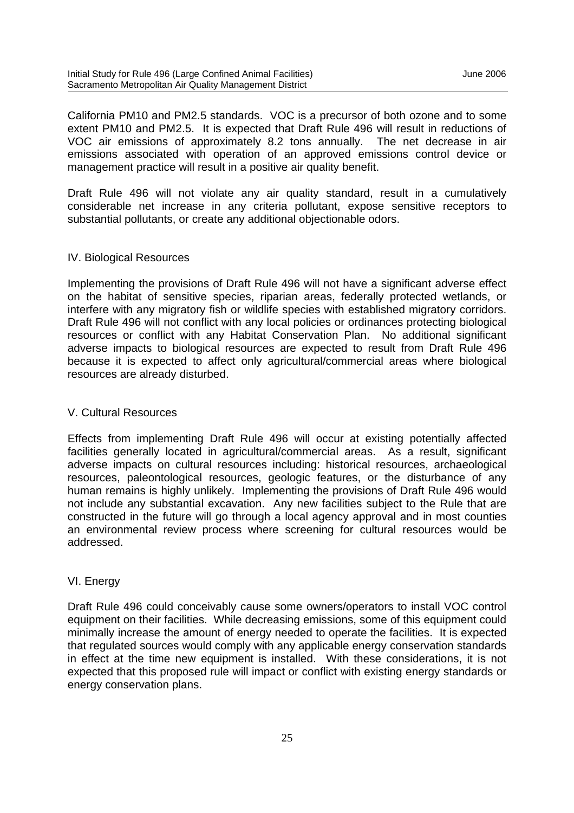California PM10 and PM2.5 standards. VOC is a precursor of both ozone and to some extent PM10 and PM2.5. It is expected that Draft Rule 496 will result in reductions of VOC air emissions of approximately 8.2 tons annually. The net decrease in air emissions associated with operation of an approved emissions control device or management practice will result in a positive air quality benefit.

Draft Rule 496 will not violate any air quality standard, result in a cumulatively considerable net increase in any criteria pollutant, expose sensitive receptors to substantial pollutants, or create any additional objectionable odors.

#### IV. Biological Resources

Implementing the provisions of Draft Rule 496 will not have a significant adverse effect on the habitat of sensitive species, riparian areas, federally protected wetlands, or interfere with any migratory fish or wildlife species with established migratory corridors. Draft Rule 496 will not conflict with any local policies or ordinances protecting biological resources or conflict with any Habitat Conservation Plan. No additional significant adverse impacts to biological resources are expected to result from Draft Rule 496 because it is expected to affect only agricultural/commercial areas where biological resources are already disturbed.

#### V. Cultural Resources

Effects from implementing Draft Rule 496 will occur at existing potentially affected facilities generally located in agricultural/commercial areas. As a result, significant adverse impacts on cultural resources including: historical resources, archaeological resources, paleontological resources, geologic features, or the disturbance of any human remains is highly unlikely. Implementing the provisions of Draft Rule 496 would not include any substantial excavation. Any new facilities subject to the Rule that are constructed in the future will go through a local agency approval and in most counties an environmental review process where screening for cultural resources would be addressed.

#### VI. Energy

Draft Rule 496 could conceivably cause some owners/operators to install VOC control equipment on their facilities. While decreasing emissions, some of this equipment could minimally increase the amount of energy needed to operate the facilities. It is expected that regulated sources would comply with any applicable energy conservation standards in effect at the time new equipment is installed. With these considerations, it is not expected that this proposed rule will impact or conflict with existing energy standards or energy conservation plans.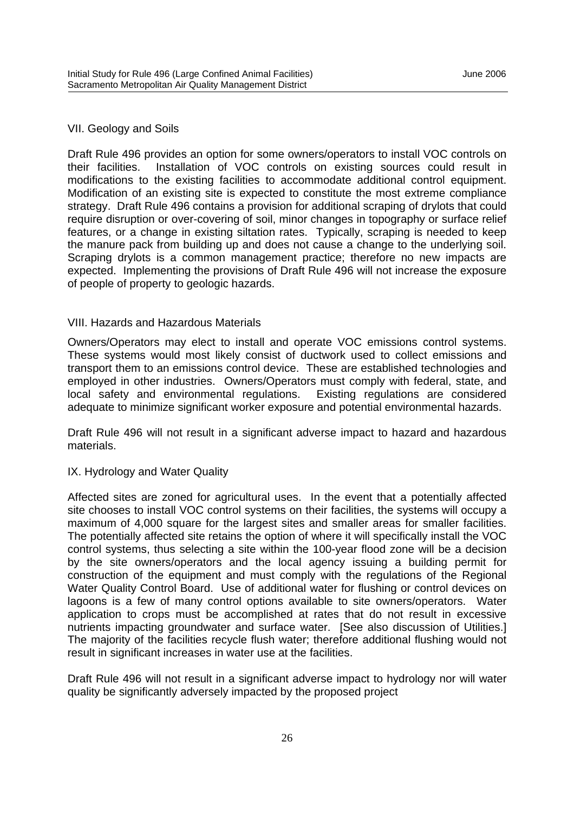#### VII. Geology and Soils

Draft Rule 496 provides an option for some owners/operators to install VOC controls on their facilities. Installation of VOC controls on existing sources could result in modifications to the existing facilities to accommodate additional control equipment. Modification of an existing site is expected to constitute the most extreme compliance strategy. Draft Rule 496 contains a provision for additional scraping of drylots that could require disruption or over-covering of soil, minor changes in topography or surface relief features, or a change in existing siltation rates. Typically, scraping is needed to keep the manure pack from building up and does not cause a change to the underlying soil. Scraping drylots is a common management practice; therefore no new impacts are expected. Implementing the provisions of Draft Rule 496 will not increase the exposure of people of property to geologic hazards.

#### VIII. Hazards and Hazardous Materials

Owners/Operators may elect to install and operate VOC emissions control systems. These systems would most likely consist of ductwork used to collect emissions and transport them to an emissions control device. These are established technologies and employed in other industries. Owners/Operators must comply with federal, state, and local safety and environmental regulations. Existing regulations are considered adequate to minimize significant worker exposure and potential environmental hazards.

Draft Rule 496 will not result in a significant adverse impact to hazard and hazardous materials.

#### IX. Hydrology and Water Quality

Affected sites are zoned for agricultural uses. In the event that a potentially affected site chooses to install VOC control systems on their facilities, the systems will occupy a maximum of 4,000 square for the largest sites and smaller areas for smaller facilities. The potentially affected site retains the option of where it will specifically install the VOC control systems, thus selecting a site within the 100-year flood zone will be a decision by the site owners/operators and the local agency issuing a building permit for construction of the equipment and must comply with the regulations of the Regional Water Quality Control Board. Use of additional water for flushing or control devices on lagoons is a few of many control options available to site owners/operators. Water application to crops must be accomplished at rates that do not result in excessive nutrients impacting groundwater and surface water. [See also discussion of Utilities.] The majority of the facilities recycle flush water; therefore additional flushing would not result in significant increases in water use at the facilities.

Draft Rule 496 will not result in a significant adverse impact to hydrology nor will water quality be significantly adversely impacted by the proposed project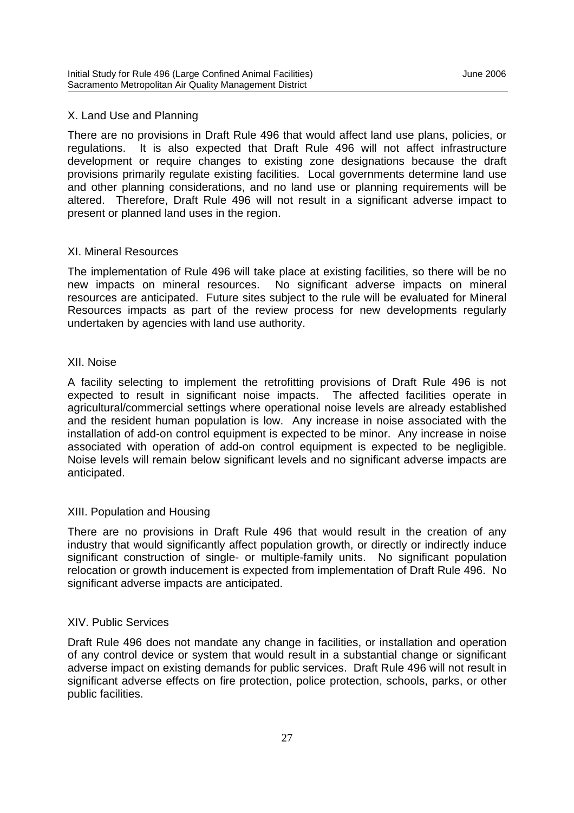#### X. Land Use and Planning

There are no provisions in Draft Rule 496 that would affect land use plans, policies, or regulations. It is also expected that Draft Rule 496 will not affect infrastructure development or require changes to existing zone designations because the draft provisions primarily regulate existing facilities. Local governments determine land use and other planning considerations, and no land use or planning requirements will be altered. Therefore, Draft Rule 496 will not result in a significant adverse impact to present or planned land uses in the region.

#### XI. Mineral Resources

The implementation of Rule 496 will take place at existing facilities, so there will be no new impacts on mineral resources. No significant adverse impacts on mineral resources are anticipated. Future sites subject to the rule will be evaluated for Mineral Resources impacts as part of the review process for new developments regularly undertaken by agencies with land use authority.

#### XII. Noise

A facility selecting to implement the retrofitting provisions of Draft Rule 496 is not expected to result in significant noise impacts. The affected facilities operate in agricultural/commercial settings where operational noise levels are already established and the resident human population is low. Any increase in noise associated with the installation of add-on control equipment is expected to be minor. Any increase in noise associated with operation of add-on control equipment is expected to be negligible. Noise levels will remain below significant levels and no significant adverse impacts are anticipated.

### XIII. Population and Housing

There are no provisions in Draft Rule 496 that would result in the creation of any industry that would significantly affect population growth, or directly or indirectly induce significant construction of single- or multiple-family units. No significant population relocation or growth inducement is expected from implementation of Draft Rule 496. No significant adverse impacts are anticipated.

#### XIV. Public Services

Draft Rule 496 does not mandate any change in facilities, or installation and operation of any control device or system that would result in a substantial change or significant adverse impact on existing demands for public services. Draft Rule 496 will not result in significant adverse effects on fire protection, police protection, schools, parks, or other public facilities.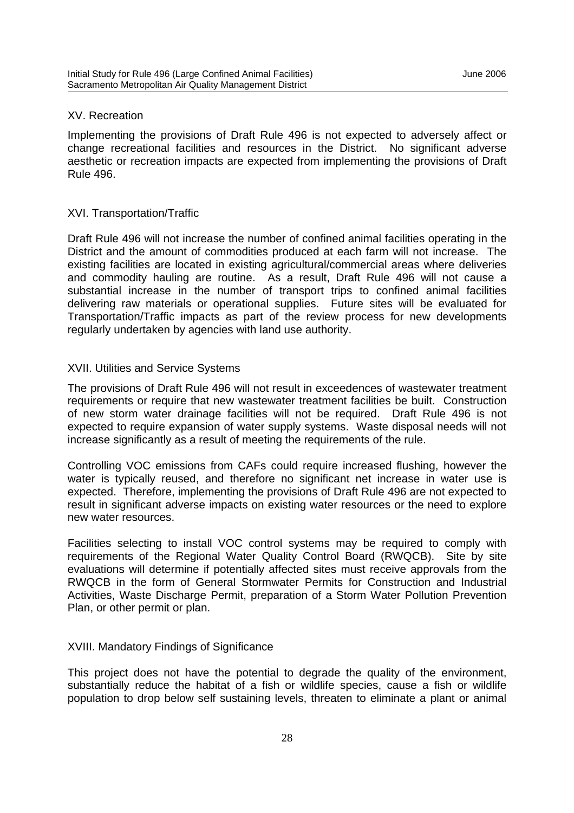#### XV. Recreation

Implementing the provisions of Draft Rule 496 is not expected to adversely affect or change recreational facilities and resources in the District. No significant adverse aesthetic or recreation impacts are expected from implementing the provisions of Draft Rule 496.

#### XVI. Transportation/Traffic

Draft Rule 496 will not increase the number of confined animal facilities operating in the District and the amount of commodities produced at each farm will not increase. The existing facilities are located in existing agricultural/commercial areas where deliveries and commodity hauling are routine. As a result, Draft Rule 496 will not cause a substantial increase in the number of transport trips to confined animal facilities delivering raw materials or operational supplies. Future sites will be evaluated for Transportation/Traffic impacts as part of the review process for new developments regularly undertaken by agencies with land use authority.

#### XVII. Utilities and Service Systems

The provisions of Draft Rule 496 will not result in exceedences of wastewater treatment requirements or require that new wastewater treatment facilities be built. Construction of new storm water drainage facilities will not be required. Draft Rule 496 is not expected to require expansion of water supply systems. Waste disposal needs will not increase significantly as a result of meeting the requirements of the rule.

Controlling VOC emissions from CAFs could require increased flushing, however the water is typically reused, and therefore no significant net increase in water use is expected. Therefore, implementing the provisions of Draft Rule 496 are not expected to result in significant adverse impacts on existing water resources or the need to explore new water resources.

Facilities selecting to install VOC control systems may be required to comply with requirements of the Regional Water Quality Control Board (RWQCB). Site by site evaluations will determine if potentially affected sites must receive approvals from the RWQCB in the form of General Stormwater Permits for Construction and Industrial Activities, Waste Discharge Permit, preparation of a Storm Water Pollution Prevention Plan, or other permit or plan.

#### XVIII. Mandatory Findings of Significance

This project does not have the potential to degrade the quality of the environment, substantially reduce the habitat of a fish or wildlife species, cause a fish or wildlife population to drop below self sustaining levels, threaten to eliminate a plant or animal